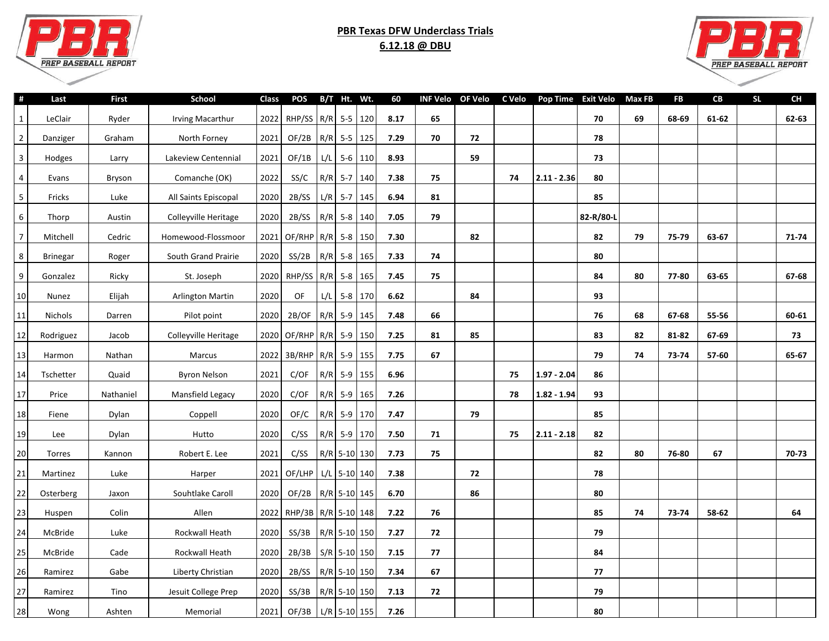

## **PBR Texas DFW Underclass Trials 6.12.18 @ DBU**



 $\sim$ 

| #              | Last            | <b>First</b> | School                  | <b>Class</b> | <b>POS</b>               |     | B/T Ht. Wt.    |           | 60   | <b>INF Velo</b> | <b>OF Velo</b> | C Velo | Pop Time Exit Velo |           | <b>Max FB</b> | <b>FB</b> | CB    | <b>SL</b> | CH    |
|----------------|-----------------|--------------|-------------------------|--------------|--------------------------|-----|----------------|-----------|------|-----------------|----------------|--------|--------------------|-----------|---------------|-----------|-------|-----------|-------|
| 1              | LeClair         | Ryder        | <b>Irving Macarthur</b> | 2022         | RHP/SS R/R 5-5 120       |     |                |           | 8.17 | 65              |                |        |                    | 70        | 69            | 68-69     | 61-62 |           | 62-63 |
| $\overline{2}$ | Danziger        | Graham       | North Forney            | 2021         | OF/2B                    |     | R/R 5-5 125    |           | 7.29 | 70              | 72             |        |                    | 78        |               |           |       |           |       |
| $\mathbf{3}$   | Hodges          | Larry        | Lakeview Centennial     | 2021         | OF/1B                    | L/L | $5-6$ 110      |           | 8.93 |                 | 59             |        |                    | 73        |               |           |       |           |       |
| $\overline{4}$ | Evans           | Bryson       | Comanche (OK)           | 2022         | SS/C                     | R/R | $5 - 7$        | 140       | 7.38 | 75              |                | 74     | $2.11 - 2.36$      | 80        |               |           |       |           |       |
| 5              | Fricks          | Luke         | All Saints Episcopal    | 2020         | 2B/SS                    |     | $L/R$ 5-7 145  |           | 6.94 | 81              |                |        |                    | 85        |               |           |       |           |       |
| 6              | Thorp           | Austin       | Colleyville Heritage    | 2020         | 2B/SS                    |     | R/R 5-8 140    |           | 7.05 | 79              |                |        |                    | 82-R/80-L |               |           |       |           |       |
| $\overline{7}$ | Mitchell        | Cedric       | Homewood-Flossmoor      | 2021         | $OF/RHP$ R/R 5-8 150     |     |                |           | 7.30 |                 | 82             |        |                    | 82        | 79            | 75-79     | 63-67 |           | 71-74 |
| 8              | <b>Brinegar</b> | Roger        | South Grand Prairie     | 2020         | SS/2B                    |     | R/R 5-8 165    |           | 7.33 | 74              |                |        |                    | 80        |               |           |       |           |       |
| 9              | Gonzalez        | Ricky        | St. Joseph              | 2020         | RHP/SS R/R               |     | $5-8$          | 165       | 7.45 | 75              |                |        |                    | 84        | 80            | 77-80     | 63-65 |           | 67-68 |
| 10             | Nunez           | Elijah       | <b>Arlington Martin</b> | 2020         | OF                       | L/L |                | $5-8$ 170 | 6.62 |                 | 84             |        |                    | 93        |               |           |       |           |       |
| 11             | Nichols         | Darren       | Pilot point             | 2020         | 2B/OF                    | R/R | $5-9$ 145      |           | 7.48 | 66              |                |        |                    | 76        | 68            | 67-68     | 55-56 |           | 60-61 |
| 12             | Rodriguez       | Jacob        | Colleyville Heritage    | 2020         | $OF/RHP$ R/R 5-9         |     |                | 150       | 7.25 | 81              | 85             |        |                    | 83        | 82            | 81-82     | 67-69 |           | 73    |
| 13             | Harmon          | Nathan       | Marcus                  | 2022         | 3B/RHP R/R 5-9           |     |                | 155       | 7.75 | 67              |                |        |                    | 79        | 74            | 73-74     | 57-60 |           | 65-67 |
| 14             | Tschetter       | Quaid        | <b>Byron Nelson</b>     | 2021         | C/OF                     |     | $R/R$ 5-9 155  |           | 6.96 |                 |                | 75     | $1.97 - 2.04$      | 86        |               |           |       |           |       |
| 17             | Price           | Nathaniel    | Mansfield Legacy        | 2020         | C/OF                     |     | $R/R$ 5-9 165  |           | 7.26 |                 |                | 78     | $1.82 - 1.94$      | 93        |               |           |       |           |       |
| 18             | Fiene           | Dylan        | Coppell                 | 2020         | OF/C                     | R/R | $5-9$ 170      |           | 7.47 |                 | 79             |        |                    | 85        |               |           |       |           |       |
| 19             | Lee             | Dylan        | Hutto                   | 2020         | C/SS                     | R/R | 5-9 170        |           | 7.50 | 71              |                | 75     | $2.11 - 2.18$      | 82        |               |           |       |           |       |
| 20             | Torres          | Kannon       | Robert E. Lee           | 2021         | C/SS                     |     | R/R 5-10 130   |           | 7.73 | 75              |                |        |                    | 82        | 80            | 76-80     | 67    |           | 70-73 |
| 21             | Martinez        | Luke         | Harper                  | 2021         | OF/LHP                   |     | $L/L$ 5-10 140 |           | 7.38 |                 | 72             |        |                    | 78        |               |           |       |           |       |
| 22             | Osterberg       | Jaxon        | Souhtlake Caroll        | 2020         | OF/2B   R/R   5-10   145 |     |                |           | 6.70 |                 | 86             |        |                    | 80        |               |           |       |           |       |
| 23             | Huspen          | Colin        | Allen                   |              | 2022 RHP/3B R/R 5-10 148 |     |                |           | 7.22 | 76              |                |        |                    | 85        | 74            | 73-74     | 58-62 |           | 64    |
| 24             | McBride         | Luke         | Rockwall Heath          | 2020         | SS/3B                    |     | R/R 5-10 150   |           | 7.27 | 72              |                |        |                    | 79        |               |           |       |           |       |
| 25             | McBride         | Cade         | Rockwall Heath          | 2020         | 2B/3B                    |     | $S/R$ 5-10 150 |           | 7.15 | 77              |                |        |                    | 84        |               |           |       |           |       |
| 26             | Ramirez         | Gabe         | Liberty Christian       | 2020         | 2B/SS                    |     | R/R 5-10 150   |           | 7.34 | 67              |                |        |                    | 77        |               |           |       |           |       |
| 27             | Ramirez         | Tino         | Jesuit College Prep     | 2020         | $SS/3B$ R/R 5-10 150     |     |                |           | 7.13 | 72              |                |        |                    | 79        |               |           |       |           |       |
| 28             | Wong            | Ashten       | Memorial                | 2021         | OF/3B                    |     | L/R 5-10 155   |           | 7.26 |                 |                |        |                    | 80        |               |           |       |           |       |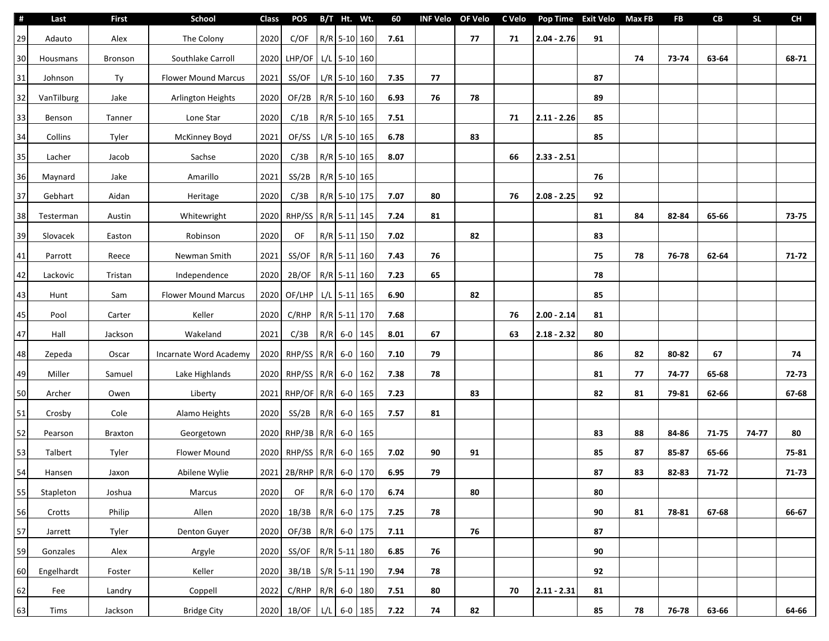| -#     | Last       | <b>First</b>   | School                     | <b>Class</b> | <b>POS</b>                |     | B/T Ht. Wt.    |             | 60   |    | INF Velo OF Velo | C Velo | Pop Time Exit Velo Max FB |    |    | <b>FB</b> | CB    | <b>SL</b> | <b>CH</b> |
|--------|------------|----------------|----------------------------|--------------|---------------------------|-----|----------------|-------------|------|----|------------------|--------|---------------------------|----|----|-----------|-------|-----------|-----------|
| 29     | Adauto     | Alex           | The Colony                 | 2020         | C/OF                      |     | R/R 5-10 160   |             | 7.61 |    | 77               | 71     | $2.04 - 2.76$             | 91 |    |           |       |           |           |
| 30     | Housmans   | <b>Bronson</b> | Southlake Carroll          | 2020         | LHP/OF                    |     | $L/L$ 5-10 160 |             |      |    |                  |        |                           |    | 74 | 73-74     | 63-64 |           | 68-71     |
| 31     | Johnson    | Ty             | <b>Flower Mound Marcus</b> | 2021         | SS/OF                     |     | $L/R$ 5-10 160 |             | 7.35 | 77 |                  |        |                           | 87 |    |           |       |           |           |
| 32     | VanTilburg | Jake           | Arlington Heights          | 2020         | OF/2B   R/R   5-10   160  |     |                |             | 6.93 | 76 | 78               |        |                           | 89 |    |           |       |           |           |
| 33     | Benson     | Tanner         | Lone Star                  | 2020         | C/1B                      |     | R/R 5-10 165   |             | 7.51 |    |                  | 71     | $2.11 - 2.26$             | 85 |    |           |       |           |           |
| 34     | Collins    | Tyler          | <b>McKinney Boyd</b>       | 2021         | OF/SS                     |     | $L/R$ 5-10 165 |             | 6.78 |    | 83               |        |                           | 85 |    |           |       |           |           |
| 35     | Lacher     | Jacob          | Sachse                     | 2020         | C/3B                      |     | R/R 5-10 165   |             | 8.07 |    |                  | 66     | $2.33 - 2.51$             |    |    |           |       |           |           |
| 36     | Maynard    | Jake           | Amarillo                   | 2021         | SS/2B                     |     | R/R 5-10 165   |             |      |    |                  |        |                           | 76 |    |           |       |           |           |
| 37     | Gebhart    | Aidan          | Heritage                   | 2020         | C/3B                      |     | R/R 5-10 175   |             | 7.07 | 80 |                  | 76     | $2.08 - 2.25$             | 92 |    |           |       |           |           |
| 38     | Testerman  | Austin         | Whitewright                | 2020         | RHP/SS   R/R   5-11   145 |     |                |             | 7.24 | 81 |                  |        |                           | 81 | 84 | 82-84     | 65-66 |           | 73-75     |
| 39     | Slovacek   | Easton         | Robinson                   | 2020         | OF                        |     | R/R 5-11 150   |             | 7.02 |    | 82               |        |                           | 83 |    |           |       |           |           |
| $41\,$ | Parrott    | Reece          | Newman Smith               | 2021         | SS/OF                     |     | R/R 5-11 160   |             | 7.43 | 76 |                  |        |                           | 75 | 78 | 76-78     | 62-64 |           | $71-72$   |
| 42     | Lackovic   | Tristan        | Independence               | 2020         | 2B/OF                     |     | R/R 5-11 160   |             | 7.23 | 65 |                  |        |                           | 78 |    |           |       |           |           |
| 43     | Hunt       | Sam            | <b>Flower Mound Marcus</b> | 2020         | OF/LHP   L/L   5-11   165 |     |                |             | 6.90 |    | 82               |        |                           | 85 |    |           |       |           |           |
| 45     | Pool       | Carter         | Keller                     | 2020         | C/RHP                     |     | R/R 5-11 170   |             | 7.68 |    |                  | 76     | $2.00 - 2.14$             | 81 |    |           |       |           |           |
| 47     | Hall       | Jackson        | Wakeland                   | 2021         | C/3B                      | R/R |                | $6-0$ 145   | 8.01 | 67 |                  | 63     | $2.18 - 2.32$             | 80 |    |           |       |           |           |
| 48     | Zepeda     | Oscar          | Incarnate Word Academy     | 2020         | RHP/SS R/R                |     |                | $6 - 0$ 160 | 7.10 | 79 |                  |        |                           | 86 | 82 | 80-82     | 67    |           | 74        |
| 49     | Miller     | Samuel         | Lake Highlands             | 2020         | RHP/SS R/R 6-0 162        |     |                |             | 7.38 | 78 |                  |        |                           | 81 | 77 | 74-77     | 65-68 |           | 72-73     |
| 50     | Archer     | Owen           | Liberty                    | 2021         | RHP/OF R/R 6-0 165        |     |                |             | 7.23 |    | 83               |        |                           | 82 | 81 | 79-81     | 62-66 |           | 67-68     |
| 51     | Crosby     | Cole           | Alamo Heights              | 2020         | SS/2B                     |     | $R/R$ 6-0 165  |             | 7.57 | 81 |                  |        |                           |    |    |           |       |           |           |
| 52     | Pearson    | <b>Braxton</b> | Georgetown                 | 2020         | RHP/3B R/R 6-0 165        |     |                |             |      |    |                  |        |                           | 83 | 88 | 84-86     | 71-75 | 74-77     | 80        |
| 53     | Talbert    | Tyler          | Flower Mound               | 2020         | RHP/SS R/R 6-0 165        |     |                |             | 7.02 | 90 | 91               |        |                           | 85 | 87 | 85-87     | 65-66 |           | 75-81     |
| 54     | Hansen     | Jaxon          | Abilene Wylie              |              | 2021 2B/RHP R/R           |     |                | $6-0$ 170   | 6.95 | 79 |                  |        |                           | 87 | 83 | 82-83     | 71-72 |           | 71-73     |
| 55     | Stapleton  | Joshua         | Marcus                     | 2020         | OF                        |     | R/R 6-0 170    |             | 6.74 |    | 80               |        |                           | 80 |    |           |       |           |           |
| 56     | Crotts     | Philip         | Allen                      | 2020         | 1B/3B                     |     | R/R 6-0 175    |             | 7.25 | 78 |                  |        |                           | 90 | 81 | 78-81     | 67-68 |           | 66-67     |
| 57     | Jarrett    | Tyler          | Denton Guyer               | 2020         | OF/3B R/R 6-0 175         |     |                |             | 7.11 |    | 76               |        |                           | 87 |    |           |       |           |           |
| 59     | Gonzales   | Alex           | Argyle                     | 2020         | SS/OF                     |     | R/R 5-11 180   |             | 6.85 | 76 |                  |        |                           | 90 |    |           |       |           |           |
| 60     | Engelhardt | Foster         | Keller                     | 2020         | 3B/1B   S/R   5-11   190  |     |                |             | 7.94 | 78 |                  |        |                           | 92 |    |           |       |           |           |
| 62     | Fee        | Landry         | Coppell                    | 2022         | $C/RHP$ $R/R$ 6-0 180     |     |                |             | 7.51 | 80 |                  | 70     | $2.11 - 2.31$             | 81 |    |           |       |           |           |
| 63     | Tims       | Jackson        | <b>Bridge City</b>         | 2020         | 1B/OF                     | L/L |                | $6-0$ 185   | 7.22 | 74 | 82               |        |                           | 85 | 78 | 76-78     | 63-66 |           | 64-66     |